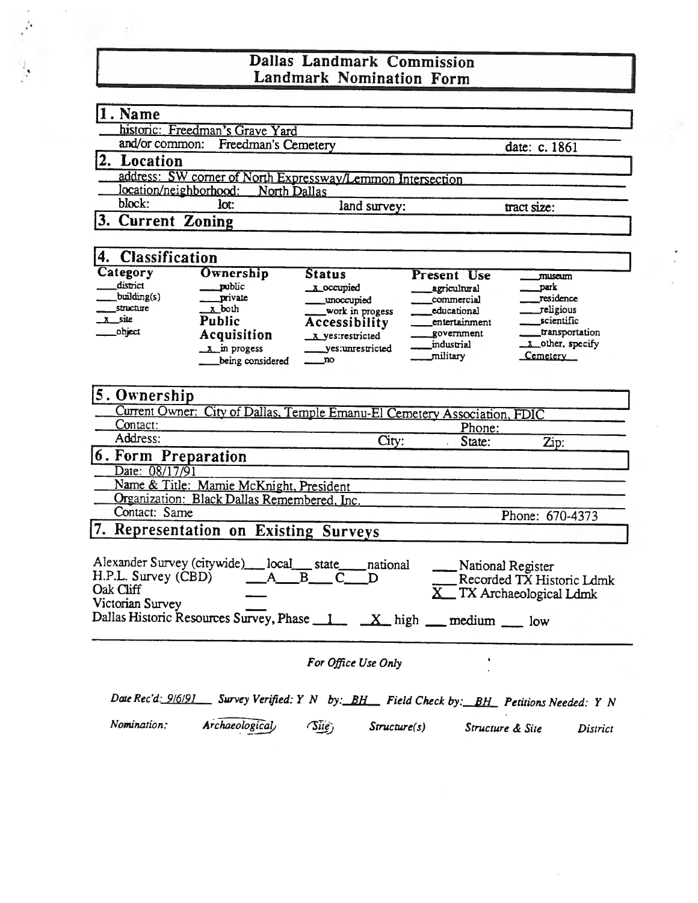## Dallas Landmark Commission Landmark Nomination Form

| 1. Name                                                |                                                                                         |                        |                              |                           |  |
|--------------------------------------------------------|-----------------------------------------------------------------------------------------|------------------------|------------------------------|---------------------------|--|
|                                                        | historic: Freedman's Grave Yard                                                         |                        |                              |                           |  |
| and/or common:<br>Freedman's Cemetery<br>date: c. 1861 |                                                                                         |                        |                              |                           |  |
| 2. Location                                            |                                                                                         |                        |                              |                           |  |
|                                                        | address: SW corner of North Expressway/Lemmon Intersection                              |                        |                              |                           |  |
| location/neighborhood:                                 | North Dallas                                                                            |                        |                              |                           |  |
| block:                                                 | lot:                                                                                    | land survey:           |                              | tract size:               |  |
| 3.<br><b>Current Zoning</b>                            |                                                                                         |                        |                              |                           |  |
|                                                        |                                                                                         |                        |                              |                           |  |
| <b>Classification</b><br>4.                            |                                                                                         |                        |                              |                           |  |
| Category                                               | Ownership                                                                               | <b>Status</b>          | <b>Present Use</b>           | museum                    |  |
| district<br>building(s)                                | public                                                                                  | x occupied             | agricultural                 | park                      |  |
| structure                                              | private<br>x both                                                                       | unoccupied             | commercial                   | residence                 |  |
| site                                                   | <b>Public</b>                                                                           | _work in progess       | educational<br>entertainment | religious<br>scientific   |  |
| object                                                 | Acquisition                                                                             | Accessibility          | government                   | transportation            |  |
|                                                        |                                                                                         | x yes:restricted       | industrial                   | x other, specify          |  |
|                                                        | $\overline{x}$ in progess<br>being considered                                           | yes:unrestricted<br>no | military                     | Cemetery                  |  |
|                                                        |                                                                                         |                        |                              |                           |  |
| 5. Ownership                                           |                                                                                         |                        |                              |                           |  |
|                                                        |                                                                                         |                        |                              |                           |  |
| Contact:                                               | Current Owner: City of Dallas, Temple Emanu-El Cemetery Association, FDIC               |                        |                              |                           |  |
| Address:                                               |                                                                                         |                        | Phone:                       |                           |  |
|                                                        |                                                                                         | City:                  | State:                       | Zip:                      |  |
| 6. Form Preparation                                    |                                                                                         |                        |                              |                           |  |
| Date: 08/17/91                                         |                                                                                         |                        |                              |                           |  |
|                                                        | Name & Title: Mamie McKnight, President                                                 |                        |                              |                           |  |
|                                                        | Organization: Black Dallas Remembered, Inc.                                             |                        |                              |                           |  |
| Contact: Same                                          |                                                                                         |                        |                              | Phone: 670-4373           |  |
|                                                        | 7. Representation on Existing Surveys                                                   |                        |                              |                           |  |
|                                                        |                                                                                         |                        |                              |                           |  |
| Alexander Survey (citywide)                            | $\_local$                                                                               | state<br>national      | National Register            |                           |  |
| H.P.L. Survey (CBD)                                    |                                                                                         | B<br>D                 |                              | Recorded TX Historic Ldmk |  |
| Oak Cliff                                              |                                                                                         |                        |                              | TX Archaeological Ldmk    |  |
| Victorian Survey                                       |                                                                                         |                        |                              |                           |  |
|                                                        | Dallas Historic Resources Survey, Phase 1 X high medium 10w                             |                        |                              |                           |  |
|                                                        |                                                                                         |                        |                              |                           |  |
|                                                        |                                                                                         | For Office Use Only    |                              |                           |  |
|                                                        |                                                                                         |                        |                              |                           |  |
|                                                        |                                                                                         |                        |                              |                           |  |
|                                                        | Date Rec'd: 9/6/91 Survey Verified: Y N by: BH Field Check by: BH Petitions Needed: Y N |                        |                              |                           |  |

Nomination: Archaeological (Site) Structure(s) Structure & Site District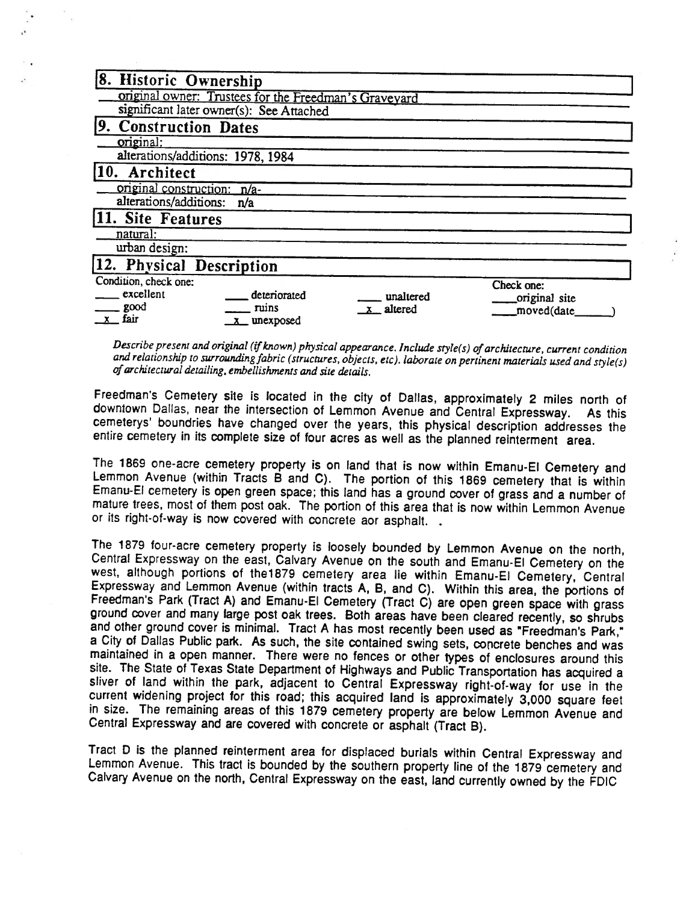| 8. Historic Ownership                                 |               |
|-------------------------------------------------------|---------------|
| original owner: Trustees for the Freedman's Gravevard |               |
| significant later owner(s): See Attached              |               |
| 9. Construction Dates                                 |               |
| original:                                             |               |
| alterations/additions: 1978, 1984                     |               |
| 10. Architect                                         |               |
| original construction: n/a-                           |               |
| alterations/additions:<br>n/a                         |               |
| 11. Site Features                                     |               |
| natural:                                              |               |
| urban design:                                         |               |
| 12. Physical Description                              |               |
| Condition, check one:                                 | Check one:    |
| excellent<br>deteriorated<br>unaltered                | original site |
| good<br>ruins<br>$x$ altered                          | moved(date    |
| fair<br>_ unexposed                                   |               |

Describe present and original (if known) physical appearance. Include style(s) of architecture, current condition and relationship to surrounding fabric (structures, objects, etc). laborate on pertinent materials used and style(s) ofarchitectural detailing, embellishments and sire details.

Freedman's Cemetery site is located in the city of Dallas, approximately 2 miles north of downtown Dallas, near the intersection of Lemmon Avenue and Central Expressway. As this cemeterys' boundries have changed over the years, this physical description addresses the entire cemetery in its complete size of four acres as well as the planned reinterment area.

The 1869 one-acre cemetery property is on land that is now within Emanu-El Cemetery and Lemmon Avenue (within Tracts B and C). The portion of this 1869 cemetery that is within Emanu-El cemetery is open green space; this land has a ground cover of grass and a number of mature trees, most of them post oak. The portion of this area that is now within Lemmon Avenue or its right-of-way is now covered with concrete aor asphalt.

The 1879 four-acre cemetery property is loosely bounded by Lemmon Avenue on the north, Central Expressway on the east, Calvary Avenue on the south and Emanu-El Cemetery on the west, although portions of the1879 cemetery area lie within Emanu-El Cemetery, Central Expressway and Lemmon Avenue (within tracts A, B, and C). Within this area, the portions of Freedman's Park (Tract A) and Emanu-El Cemetery (Tract C) are open green space with grass ground cover and many large post oak trees. Both areas have been cleared recently, so shrubs and other ground cover is minimal. Tract A has most recently been used as "Freedman's Park," <sup>a</sup> City of Dallas Public park. As such, the site contained swing sets, concrete benches and was maintained in a open manner. There were no fences or other types of enclosures around this site. The State of Texas State Department of Highways and Public Transportation has acquired a sliver of land within the park, adjacent to Central Expressway right-of-way for use in the current widening project for this road; this acquired land is approximately 3,000 square feet in size. The remaining areas of this 1879 cemetery property are below Lemmon Avenue and Central Expressway and are covered with concrete or asphalt (Tract B).

Tract D is the planned reinterment area for displaced burials within Central Expressway and Lemmon Avenue. This tract is bounded by the southern property line of the 1879 cemetery and Calvary Avenue on the north, Central Expressway on the east, land currently owned by the FDIC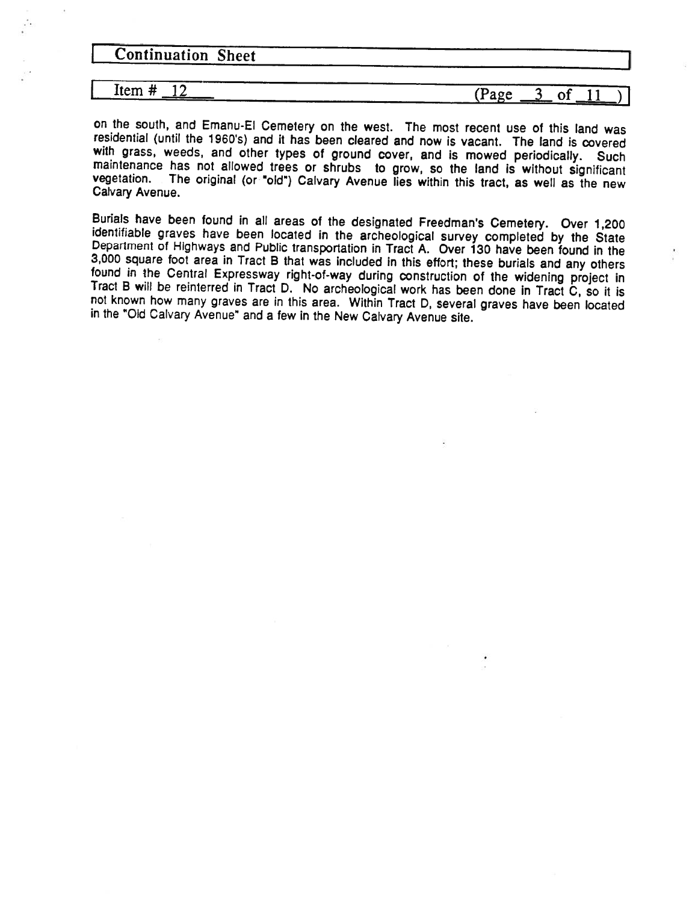**Continuation Sheet** 7

#### Item #

#### # 12 (Page  $3$  of 11

on the south, and Emanu-El Cemetery on the west. The most recent use of this land was residential (until the 1960's) and it has been cleared and now is vacant. The land is covered with grass, weeds, and other types of ground cover, and is mowed periodically. Such maintenance has not allowed trees or shrubs to grow, so the land is without significant vegetation. The original (or "old") Calvary Avenue lies within this tract, as well as the new Calvary Avenue.

Burials have been found in all areas of the designated Freedman's Cemetery. Over 1,200 identifiable graves have been located in the archeological survey completed by the State Department of Highways and Public transportation in Tract A. Over 130 have been found in the 3,000 square foot area in Tract B that was included in this effort; these burials and any others found in the Central Expressway right-of-way during construction of the widening project in Tract B will be reinterred in Tract D. No archeological work has been done in Tract C, so it is not known how many graves are in this area. Within Tract D, several graves have been located in the "Old Calvary Avenue" and <sup>a</sup> few in the New Calvary Avenue site.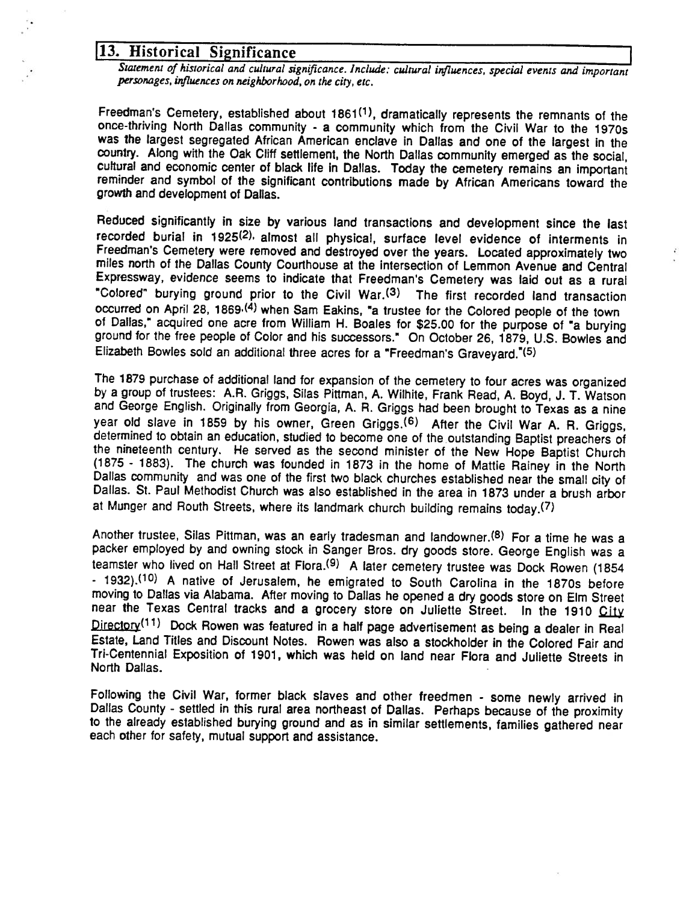# 13. Historical Significance

Statement of historical and cultural significance. Include: cultural influences, special events and important personages, influences on neighborhood, on the city, etc.

Freedman's Cemetery, established about 1861<sup>(1)</sup>, dramatically represents the remnants of the once-thriving North Dallas community - <sup>a</sup> community which from the Civil War to the 1970s was the largest segregated African American enclave in Dallas and one of the largest in the country. Along with the Oak Cliff settlement, the North Dallas community emerged as the social, cultural and economic center of black life in Dallas. Today the cemetery remains an important reminder and symbol of the significant contributions made by African Americans toward the growth and development of Dallas.

Reduced significantly in size by various land transactions and development since the last recorded burial in 1925(2), almost all physical, surface level evidence of interments in Freedman's Cemetery were removed and destroyed over the years. Located approximately two miles north of the Dallas County Courthouse at the intersection of Lemmon Avenue and Central Expressway, evidence seems to indicate that Freedman's Cemetery was laid out as a rural "Colored" burying ground prior to the Civil War.(3) The first recorded land transaction occurred on April 28, 1869<sup>.(4)</sup> when Sam Eakins, "a trustee for the Colored people of the town of Dallas," acquired one acre from William H. Boales for \$25.00 for the purpose of "a burying ground for the free people of Color and his successors." On October 26, 1879, U.S. Bowles and Elizabeth Bowles sold an additional three acres for <sup>a</sup> "Freedman's Graveyard."(5)

ž.

The 1879 purchase of additional land for expansion of the cemetery to four acres was organized by <sup>a</sup> group of trustees: A.R. Griggs, Silas Pittman, A. Wilhite, Frank Read, A. Boyd, J. T. Watson and George English. Originally from Georgia, A. R. Griggs had been brought to Texas as a nine year old slave in 1859 by his owner, Green Griggs.<sup>(6)</sup> After the Civil War A. R. Griggs, determined to obtain an education, studied to become one of the outstanding Baptist preachers of the nineteenth century. He served as the second minister of the New Hope Baptist Church (1875 - 1883). The church was founded in 1873 in the home of Mattie Rainey in the North Dallas community and was one of the first two black churches established near the small city of Dallas. St. Paul Methodist Church was also established in the area in 1873 under a brush arbor at Munger and Routh Streets, where its landmark church building remains today.(7)

Another trustee, Silas Pittman, was an early tradesman and landowner.<sup>(8)</sup> For a time he was a packer employed by and owning stock in Sanger Bros. dry goods store. George English was a teamster who lived on Hall Street at Flora.<sup>(9)</sup> A later cemetery trustee was Dock Rowen (1854 - 1932).(10) A native of Jerusalem, he emigrated to South Carolina in the 1870s before moving to Dallas via Alabama. After moving to Dallas he opened a dry goods store on Elm Street near the Texas Central tracks and a grocery store on Juliette Street. In the 1910 City  $Director^{(11)}$  Dock Rowen was featured in a half page advertisement as being a dealer in Real Estate, Land Titles and Discount Notes. Rowen was also a stockholder in the Colored Fair and Tn-Centennial Exposition of 1901, which was held on land near Flora and Juliette Streets in North Dallas.

Following the Civil War, former black slaves and other freedmen - some newly arrived in Dallas County - settled in this rural area northeast of Dallas. Perhaps because of the proximity to the already established burying ground and as in similar settlements, families gathered near each other for safety, mutual support and assistance.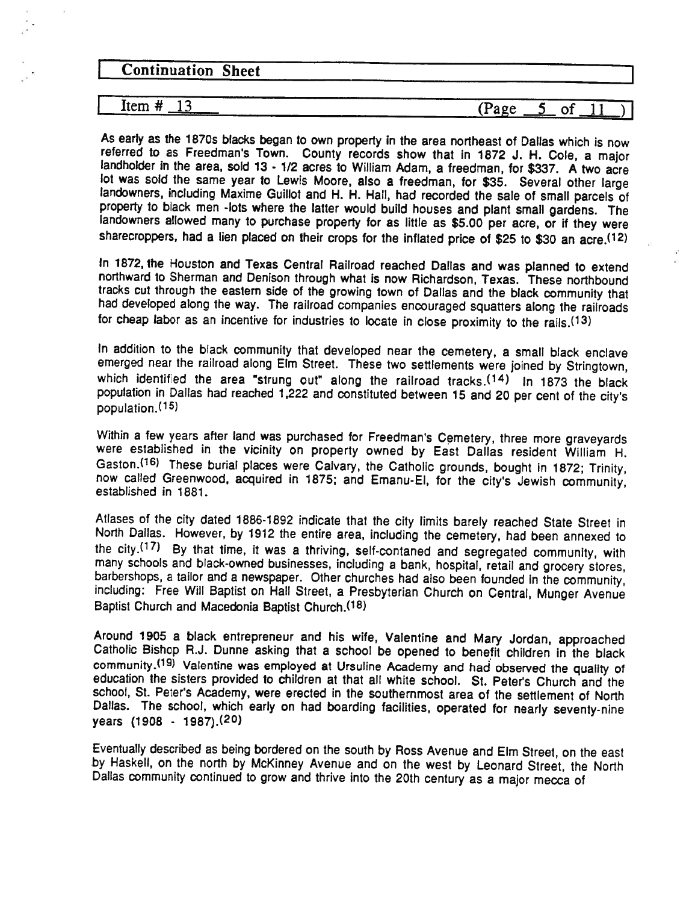| <b>Continuation Sheet</b> |  |
|---------------------------|--|
|                           |  |

 $I$  Item  $\#$   $13$  (Page 5 of 11)

As early as the 1870s blacks began to own property in the area northeast of Dallas which is now referred to as Freedman's Town. County records show that in 1872 J. H. Cole, <sup>a</sup> major landholder in the area, sold 13 - 1/2 acres to William Adam, a freedman, for \$337. A two acre lot was sold the same year to Lewis Moore, also <sup>a</sup> freedman, for \$35. Several other large landowners, including Maxime Guillot and H. H. Hall, had recorded the sale of small parcels of property to black men -lots where the latter would build houses and plant small gardens. The landowners allowed many to purchase property for as little as \$5.00 per acre, or if they were sharecroppers, had <sup>a</sup> lien placed on their crops for the inflated price of \$25 to \$30 an acre.(12)

In 1872, the Houston and Texas Central Railroad reached Dallas and was planned to extend northward to Sherman and Denison through what is now Richardson, Texas. These northbound tracks cut through the eastern side of the growing town of Dallas and the black community that had developed along the way. The railroad companies encouraged squatters along the railroads for cheap labor as an incentive for industries to locate in close proximity to the rails.<sup>(13)</sup>

In addition to the black community that developed near the cemetery, <sup>a</sup> small black enclave emerged near the railroad along Elm Street. These two settlements were joined by Stringtown, which identified the area "strung out" along the railroad tracks. $(14)$  In 1873 the black population in Dallas had reached 1,222 and constituted between 15 and 20 per cent of the city's population.<sup>(15)</sup>

Within <sup>a</sup> few years after land was purchased for Freedman's Cemetery, three more graveyards were established in the vicinity on property owned by East Dallas resident William H. Gaston.(16) These burial places were Calvary, the Catholic grounds, bought in 1872; Trinity, now called Greenwood, acquired in 1875; and Emanu.El, for the city's Jewish community, established in 1881.

Atlases of the city dated 1886-1892 indicate that the city limits barely reached State Street in North Dallas. However, by 1912 the entire area, including the cemetery, had been annexed to the city. $(17)$  By that time, it was a thriving, self-contaned and segregated community, with many schools and black-owned businesses, including <sup>a</sup> bank, hospital, retail and grocery stores, barbershops, <sup>a</sup> tailor and <sup>a</sup> newspaper. Other churches had also been founded in the community, including: Free Will Baptist on Hall Street, <sup>a</sup> Presbyterian Church on Central, Munger Avenue Baptist Church and Macedonia Baptist Church.<sup>(18)</sup>

Around 1905 <sup>a</sup> black entrepreneur and his wife, Valentine and Mary Jordan, approached Catholic Bishop R.J. Dunne asking that <sup>a</sup> school be opened to benefit children in the black community.(19) Valentine was employed at Ursuline Academy and had observed the quality of education the sisters provided to children at that all white school. St. Peter's Church and the school, St. Peter's Academy, were erected in the southernmost area of the settlement of North Dallas. The school, which early on had boarding facilities, operated for nearly seventy-nine years (1908 - 1987).(20)

Eventually described as being bordered on the south by Ross Avenue and Elm Street, on the east by Haskell, on the north by McKinney Avenue and on the west by Leonard Street, the North Dallas community continued to grow and thrive into the 20th century as <sup>a</sup> major mecca of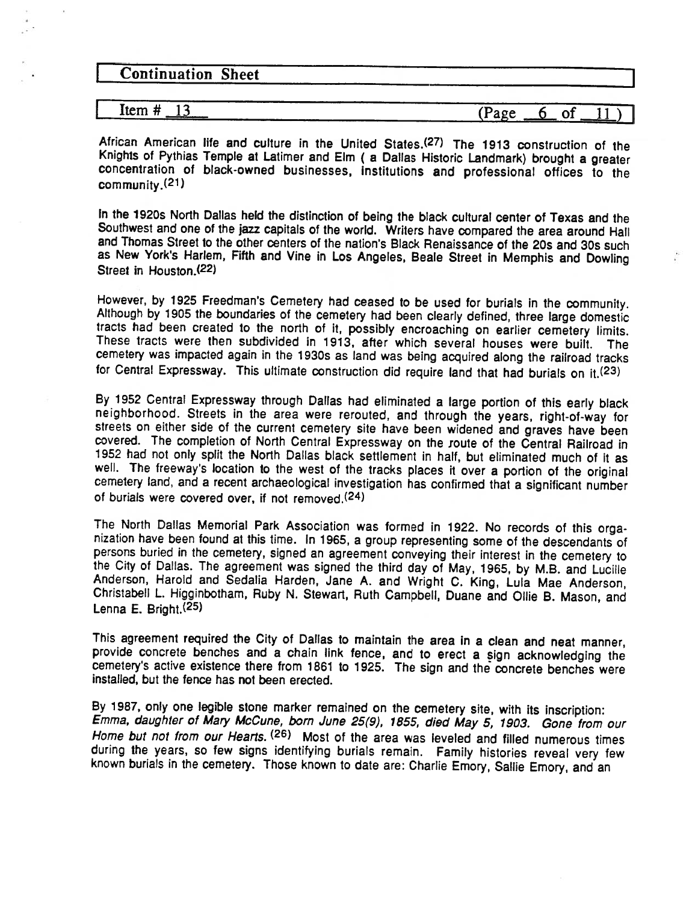| <b>Continuation Sheet</b> |             |  |
|---------------------------|-------------|--|
|                           |             |  |
| Item #                    | (Page<br>UΙ |  |

African American life and culture in the United States.(27) The 1913 construction of the Knights of Pythias Temple at Latimer and Elm ( <sup>a</sup> Dallas Historic Landmark) brought <sup>a</sup> greater concentration of black-owned businesses, institutions and professional offices to the community.(21)

In the 1920s North Dallas held the distinction of being the black cultural center of Texas and the Southwest and one of the jazz capitals of the world. Writers have compared the area around Hall and Thomas Street to the other centers of the nation's Black Renaissance of the 20s and 30s such as New York's Harlem, Fifth and Vine in Los Angeles, Beale Street in Memphis and Dowling Street in Housion.(22)

However, by 1925 Freedman's Cemetery had ceased to be used for burials in the community. Although by 1905 the boundaries of the cemetery had been clearly defined, three large domestic tracts had been created to the north of it, possibly encroaching on earlier cemetery limits. These tracts were then subdivided in 1913, after which several houses were built. The cemetery was impacted again in the 1930s as land was being acquired along the railroad tracks for Central Expressway. This ultimate construction did require land that had burials on it.(23)

By 1952 Central Expressway through Dallas had eliminated <sup>a</sup> large portion of this early black neighborhood. Streets in the area were rerouted, and through the years, right-of-way for streets on either side of the current cemetery site have been widened and graves have been covered. The completion of North Central Expressway on the route of the Central Railroad in 1952 had not only split the North Dallas black settlement in half, but eliminated much of it as well. The freeway's location to the west of the tracks places it over a portion of the original cemetery land, and a recent archaeological investigation has confirmed that a significant number of burials were covered over, if not removed.(24)

The North Dallas Memorial Park Association was formed in 1922. No records of this orga nization have been found at this time. In 1965, <sup>a</sup> group representing some of the descendants of persons buried in the cemetery, signed an agreement conveying their interest in the cemetery to the City of Dallas. The agreement was signed the third day of May, 1965, by M.B. and Lucille Anderson, Harold and Sedalia Harden, Jane A. and Wright C. King, LuIa Mae Anderson, Christabell L. Higginbotham, Ruby N. Stewart, Ruth Campbell, Duane and OIIie B. Mason, and Lenna E. Bright.(25)

This agreement required the City of Dallas to maintain the area in a clean and neat manner provide concrete benches and a chain link fence, and to erect a sign acknowledging the cemetery's active existence there from <sup>1861</sup> to 1925. The sign and the concrete benches were installed, but the fence has not been erected.

By 1987, only one legible stone marker remained on the cemetery site, with its inscription: Emma, daughter of Mary McCune, born June 25(9), 1855, died May 5, 1903. Gone from our Home but not from our Hearts. (26) Most of the area was leveled and filled numerous times during the years, so few signs identifying burials remain. Family histories reveal very few known burials in the cemetery. Those known to date are: Charlie Emory, Sallie Emory, and an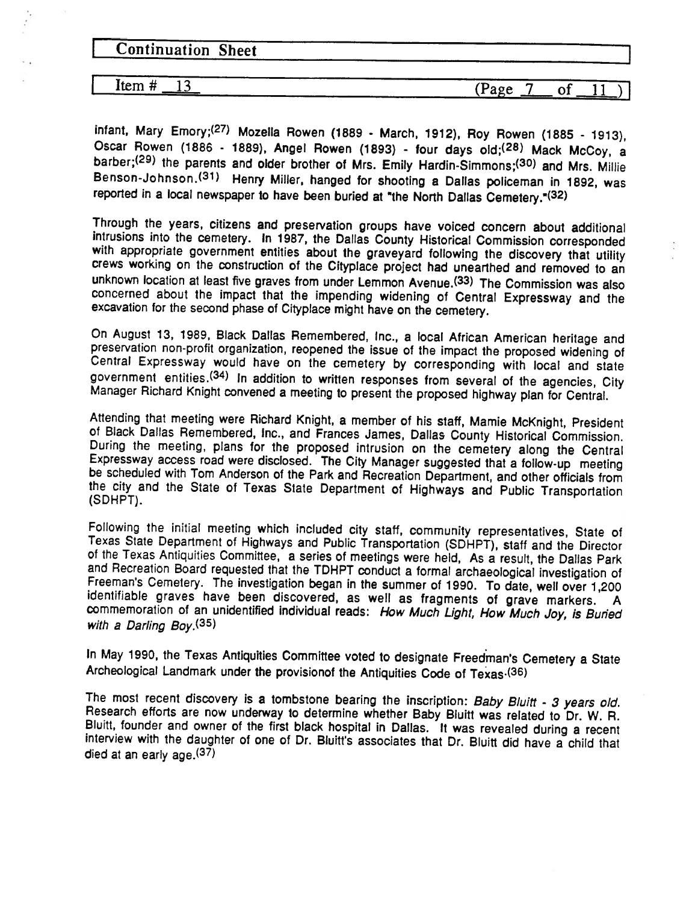| <b>Continuation Sheet</b> |         |  |  |
|---------------------------|---------|--|--|
|                           | ------- |  |  |

 $\boxed{\text{Item } \# \_13}$  (Page

 $(Page \t 7 of \t 11)$ 

infant, Mary Emory;(27) Mozella Rowen (1889 - March, 1912), Roy Rowen (1885 - 1913), Oscar Rowen (1886 - 1889), Angel Rowen (1893) - four days old;<sup>(28)</sup> Mack McCoy, a barber;<sup>(29)</sup> the parents and older brother of Mrs. Emily Hardin-Simmons;<sup>(30)</sup> and Mrs. Millie Benson-Johnson.(31) Henry Miller, hanged for shooting <sup>a</sup> Dallas policeman in 1892, was reported in a local newspaper to have been buried at "the North Dallas Cemetery."(32)

Through the years, citizens and preservation groups have voiced concern about additional intrusions into the cemetery. In 1987, the Dallas County Historical Commission corresponded with appropriate government entities about the graveyard following the discovery that utility crews working on the construction of the Cityplace project had unearthed and removed to an unknown location at least five graves from under Lemmon Avenue.(33) The Commission was also concerned about the impact that the impending widening of Central Expressway and the excavation for the second phase of Cityplace might have on the cemetery.

On August 13, 1989, Black Dallas Remembered, Inc., a local African American heritage and preservation non-profit organization, reopened the issue of the impact the proposed widening of Central Expressway would have on the cemetery by corresponding with local and state government entities.(34) In addition to written responses from several of the agencies, City Manager Richard Knight convened <sup>a</sup> meeting to present the proposed highway plan for Central.

Attending that meeting were Richard Knight, a member of his staff, Mamie McKnight, President of Black Dallas Remembered, Inc., and Frances James, Dallas County Historical Commission. During the meeting, plans for the proposed intrusion on the cemetery along the Central Expressway access road were disclosed. The City Manager suggested that a follow-up meeting be scheduled with Tom Anderson of the Park and Recreation Department, and other officials from the city and the State of Texas State Department of Highways and Public Transportation (SDHPT).

Following the initial meeting which included city staff, community representatives, State of Texas State Department of Highways and Public Transportation (SDHPT), staff and the Director of the Texas Antiquities Committee, a series of meetings were held. As a result, the Dallas Park and Recreation Board requested that the TDHPT conduct a formal archaeological investigation of Freeman's Cemetery. The investigation began in the summer of 1990. To date, well over 1,200 identifiable graves have been discovered, as well as fragments of grave markers. A commemoration of an unidentified individual reads: How Much Light, How Much Joy, is Buried with <sup>a</sup> Darling Boy.(35)

In May 1990, the Texas Antiquities Committee voted to designate Freedman's Cemetery a State Archeological Landmark under the provisionof the Antiquities Code of Texas (36)

The most recent discovery is a tombstone bearing the inscription: Baby Bluitt - 3 years old Research efforts are now underway to determine whether Baby Bluitt was related to Dr. W. R. Bluiti, founder and owner of the first black hospital in Dallas. It was revealed during <sup>a</sup> recent interview with the daughter of one of Dr. Bluitt's associates that Dr. Bluitt did have a child that died at an early age.<sup>(37)</sup>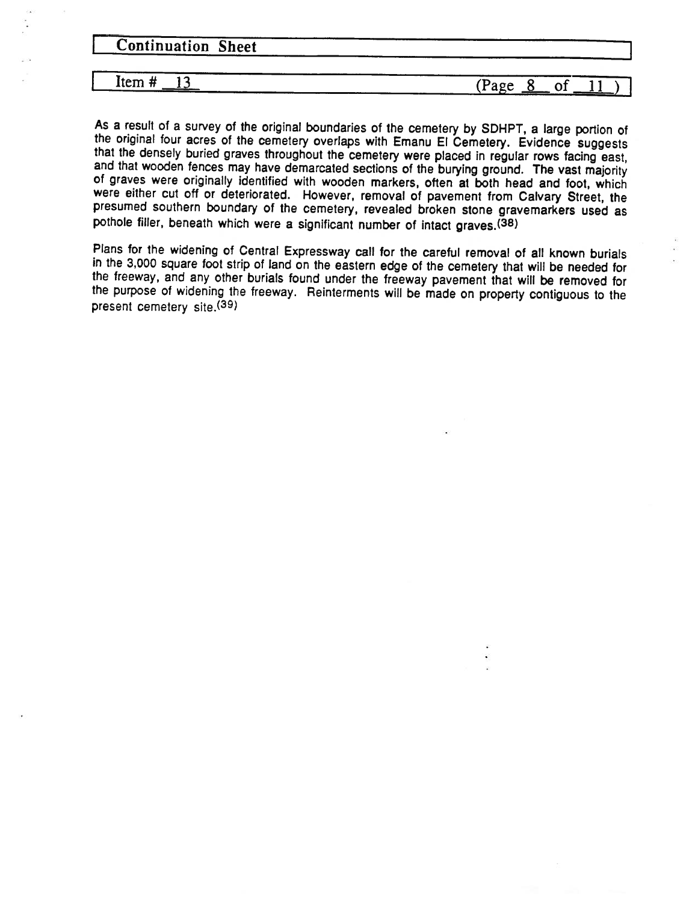**Continuation Sheet** 

 $I$  Item  $\#$  13 (Page 8 of 11)

As <sup>a</sup> result of <sup>a</sup> survey of the original boundaries of the cemetery by SDHPT, <sup>a</sup> large portion of the original four acres of the cemetery overlaps with Emanu El Cemetery. Evidence suggests that the densely buried graves throughout the cemetery were placed in regular rows facing east, and that wooden fences may have demarcated sections of the burying ground. The vast majority of graves were originally identified with wooden markers, often at both head and foot, which were either cut off or deteriorated. However, removal of pavement from Calvary Street, the presumed southern boundary of the cemetery, revealed broken stone gravemarkers used as pothole filler, beneath which were <sup>a</sup> significant number of intact graves.(38)

Plans for the widening of Central Expressway call for the careful removal of all known burials in the 3,000 square foot strip of land on the eastern edge of the cemetery that will be needed for the freeway, and any other burials found under the freeway pavement that will be removed for the purpose of widening the freeway. Reinterments will be made on property contiguous to the present cemetery site.(39)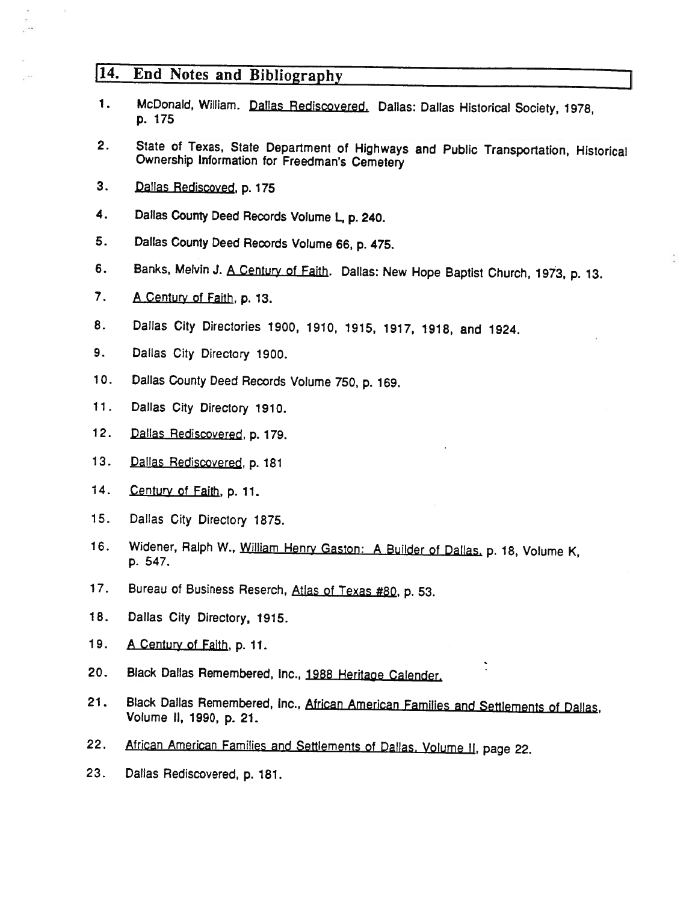# 114. End Notes and Bibliography

- 1. McDonald, William. Dallas Rediscovered. Dallas: Dallas Historical Society, 1978, p. 175
- 2. State of Texas, State Department of Highways and Public Transportation, Historical Ownership Information for Freedman's Cemetery
- 3. Dallas Rediscoved, p. 175

 $\sim$ 

- 4. Dallas County Deed Records Volume L, p. 240.
- 5. Dallas County Deed Records Volume 66, p. 475.
- 6. Banks, Melvin J. A Century of Faith. Dallas: New Hope Baptist Church, 1973, p. 13.
- 7. A Century of Faith, p. 13.
- 8. Dallas City Directories 1900, 1910, 1915, 1917, 1918, and 1924.
- 9. Dallas City Directory 1900.
- 10. Dallas County Deed Records Volume 750, p. 169.
- 11. Dallas City Directory 1910.
- 12. Dallas Rediscovered, p.179.
- 13. Dallas Rediscovered, p. 181
- 14. Century of Faith, p. 11.
- 15. Dallas City Directory 1875.
- 16. Widener, Ralph W., William Henry Gaston: <sup>A</sup> Builder of Dallas. p. 18, Volume K, p. 547.
- 17. Bureau of Business Reserch, Atlas of Texas #80, p. 53.
- 18. Dallas City Directory, 1915.
- 19. A Century of Faith, p. 11.
- 20. Black Dallas Remembered, Inc., 1988 Heritage Calender.
- 21. Black Dallas Remembered, Inc., African American Families and Settlements of Dallas, Volume II, 1990, p. 21.
- 22. African American Families and Settlements of Dallas. Volume II, page 22.
- 23. Dallas Rediscovered, p. 181.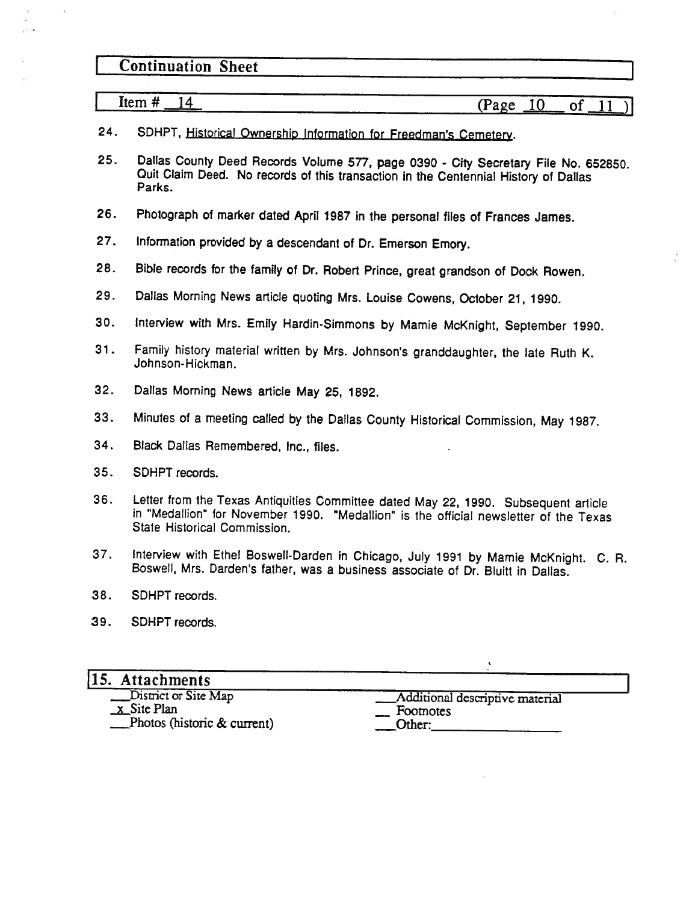# **Continuation Sheet**

 $\frac{24}{14}$  (Page 10 of L

SDHPT, Historical Ownership Information for Freedman's Cemetery. 24.

- Dallas County Deed Records Volume 577, page 0390 City Secretary File No. 652850. Quit Claim Deed. No records of this transaction in the Centennial History of Dallas Parks. 25.
- 26. Photograph of marker dated April 1987 in the personal files of Frances James.
- 27. Information provided by <sup>a</sup> descendant of Dr. Emerson Emory.
- 28. Bible records for the family of Dr. Robert Prince, great grandson of Dock Rowen.
- 29. Dallas Morning News article quoting Mrs. Louise Cowens, October 21, 1990.
- 30. Interview with Mrs. Emily Hardin-Simmons by Mamie McKnight, September 1990.
- 31. Family history material written by Mrs. Johnson's granddaughter, the late Ruth K. Johnson-Hickman.
- 32. Dallas Morning News article May 25, 1892.
- 33. Minutes of <sup>a</sup> meeting called by the Dallas County Historical Commission, May 1987.
- 34. Black Dallas Remembered, Inc., files.
- 35. SDHPT records.
- 36. Letter from the Texas Antiquities Committee dated May 22, 1990. Subsequent article in "Medallion" for November 1990. "Medallion" is the official newsletter of the Texas State Historical Commission.
- 37. Interview with Ethel Boswell-Darden in Chicago, July 1991 by Mamie McKnight. C. R. Boswell, Mrs. Darden's father, was <sup>a</sup> business associate of Dr. Bluitt in Dallas.
- 38. SDHPT records.
- 39. SDHPT records.

#### 115. Attachments

x Site Plan Footnotes  $\Box$ Photos (historic & current)  $\Box$  Other:

Les District or Site Map **Additional descriptive material**